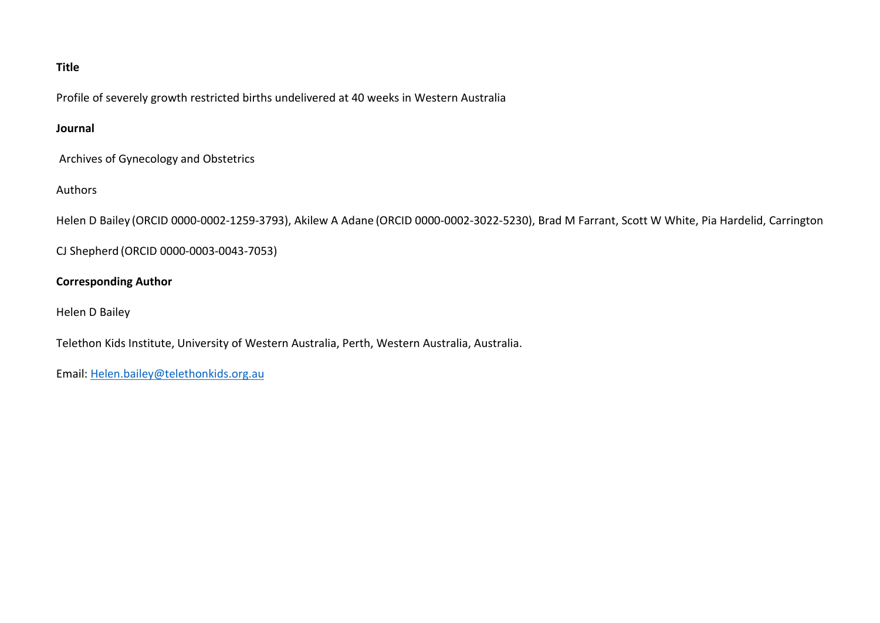## **Title**

Profile of severely growth restricted births undelivered at 40 weeks in Western Australia

## **Journal**

Archives of Gynecology and Obstetrics

## Authors

Helen D Bailey (ORCID 0000-0002-1259-3793), Akilew A Adane (ORCID 0000-0002-3022-5230), Brad M Farrant, Scott W White, Pia Hardelid, Carrington

CJ Shepherd (ORCID 0000-0003-0043-7053)

## **Corresponding Author**

Helen D Bailey

Telethon Kids Institute, University of Western Australia, Perth, Western Australia, Australia.

Email: [Helen.bailey@telethonkids.org.au](mailto:Helen.bailey@telethonkids.org.au)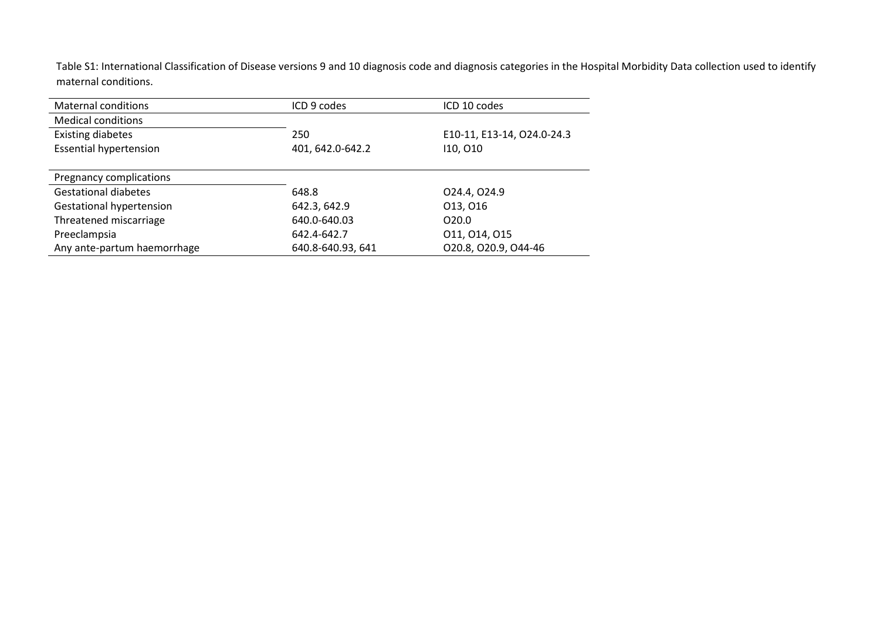Table S1: International Classification of Disease versions 9 and 10 diagnosis code and diagnosis categories in the Hospital Morbidity Data collection used to identify maternal conditions.

| <b>Maternal conditions</b>      | ICD 9 codes       | ICD 10 codes               |
|---------------------------------|-------------------|----------------------------|
| <b>Medical conditions</b>       |                   |                            |
| <b>Existing diabetes</b>        | 250               | E10-11, E13-14, O24.0-24.3 |
| <b>Essential hypertension</b>   | 401, 642.0-642.2  | 110, 010                   |
|                                 |                   |                            |
| Pregnancy complications         |                   |                            |
| <b>Gestational diabetes</b>     | 648.8             | 024.4, 024.9               |
| <b>Gestational hypertension</b> | 642.3, 642.9      | 013, 016                   |
| Threatened miscarriage          | 640.0-640.03      | O <sub>20.0</sub>          |
| Preeclampsia                    | 642.4-642.7       | 011, 014, 015              |
| Any ante-partum haemorrhage     | 640.8-640.93, 641 | O20.8, O20.9, O44-46       |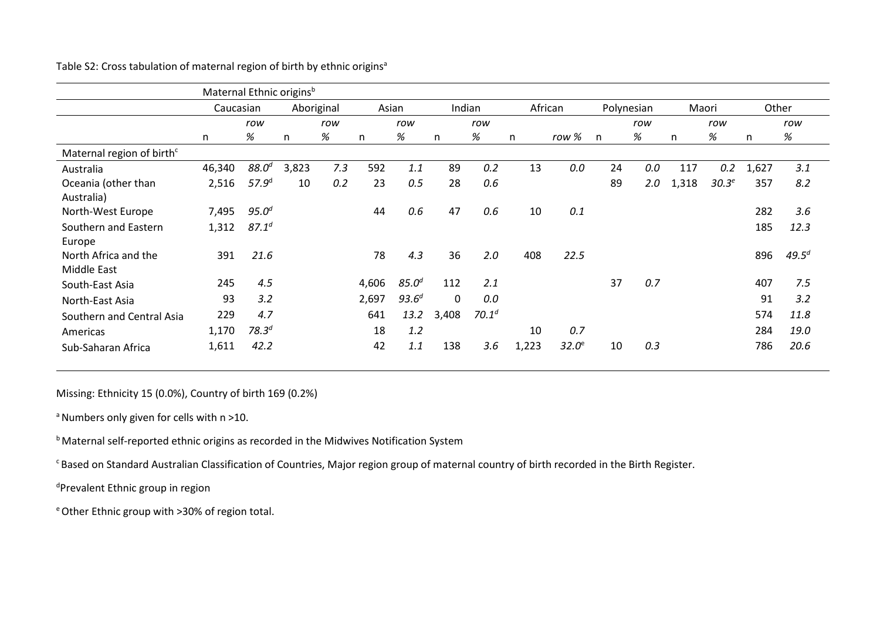|                                       | Maternal Ethnic originsb |                   |       |            |       |            |              |                   |       |                   |    |            |       |          |       |            |
|---------------------------------------|--------------------------|-------------------|-------|------------|-------|------------|--------------|-------------------|-------|-------------------|----|------------|-------|----------|-------|------------|
|                                       | Caucasian                |                   |       | Aboriginal | Asian |            |              | Indian            |       | African           |    | Polynesian |       | Maori    |       | Other      |
|                                       |                          | row               |       | row        |       | row        |              | row               |       |                   |    | row        |       | row      |       | row        |
|                                       | n                        | %                 | n     | %          | n     | %          | n            | %                 | n     | row %             | n  | %          | n     | %        | n     | %          |
| Maternal region of birth <sup>c</sup> |                          |                   |       |            |       |            |              |                   |       |                   |    |            |       |          |       |            |
| Australia                             | 46,340                   | 88.0 <sup>d</sup> | 3,823 | 7.3        | 592   | 1.1        | 89           | 0.2               | 13    | 0.0               | 24 | 0.0        | 117   | 0.2      | 1,627 | 3.1        |
| Oceania (other than<br>Australia)     | 2,516                    | 57.9 <sup>d</sup> | 10    | 0.2        | 23    | 0.5        | 28           | 0.6               |       |                   | 89 | 2.0        | 1,318 | $30.3^e$ | 357   | 8.2        |
| North-West Europe                     | 7,495                    | $95.0^{d}$        |       |            | 44    | 0.6        | 47           | 0.6               | 10    | 0.1               |    |            |       |          | 282   | 3.6        |
| Southern and Eastern<br>Europe        | 1,312                    | $87.1^{d}$        |       |            |       |            |              |                   |       |                   |    |            |       |          | 185   | 12.3       |
| North Africa and the<br>Middle East   | 391                      | 21.6              |       |            | 78    | 4.3        | 36           | 2.0               | 408   | 22.5              |    |            |       |          | 896   | $49.5^{d}$ |
| South-East Asia                       | 245                      | 4.5               |       |            | 4,606 | $85.0^{d}$ | 112          | 2.1               |       |                   | 37 | 0.7        |       |          | 407   | 7.5        |
| North-East Asia                       | 93                       | 3.2               |       |            | 2,697 | $93.6^{d}$ | $\mathbf{0}$ | 0.0               |       |                   |    |            |       |          | 91    | 3.2        |
| Southern and Central Asia             | 229                      | 4.7               |       |            | 641   | 13.2       | 3,408        | 70.1 <sup>d</sup> |       |                   |    |            |       |          | 574   | 11.8       |
| Americas                              | 1,170                    | 78.3 <sup>d</sup> |       |            | 18    | 1.2        |              |                   | 10    | 0.7               |    |            |       |          | 284   | 19.0       |
| Sub-Saharan Africa                    | 1,611                    | 42.2              |       |            | 42    | 1.1        | 138          | 3.6               | 1,223 | $32.0^\mathrm{e}$ | 10 | 0.3        |       |          | 786   | 20.6       |

Table S2: Cross tabulation of maternal region of birth by ethnic origins<sup>a</sup>

Missing: Ethnicity 15 (0.0%), Country of birth 169 (0.2%)

 $a$  Numbers only given for cells with  $n > 10$ .

b Maternal self-reported ethnic origins as recorded in the Midwives Notification System

c Based on Standard Australian Classification of Countries, Major region group of maternal country of birth recorded in the Birth Register.

d Prevalent Ethnic group in region

e Other Ethnic group with >30% of region total.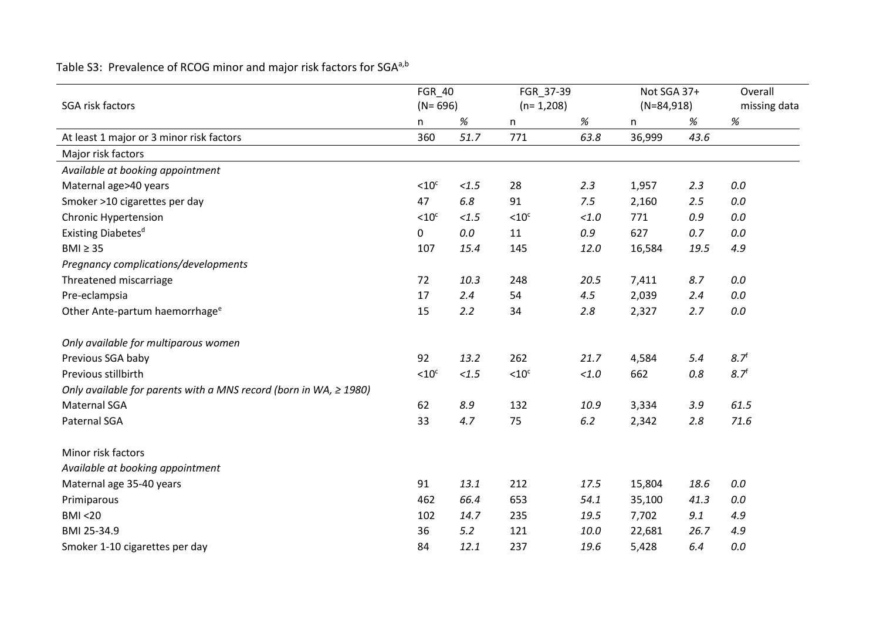| SGA risk factors                                                       | FGR_40<br>$(N = 696)$ |       | FGR_37-39<br>$(n=1,208)$ |         | Not SGA 37+<br>$(N=84,918)$ |         | Overall<br>missing data |
|------------------------------------------------------------------------|-----------------------|-------|--------------------------|---------|-----------------------------|---------|-------------------------|
|                                                                        | n                     | %     | n                        | %       | n                           | %       | $\%$                    |
| At least 1 major or 3 minor risk factors                               | 360                   | 51.7  | 771                      | 63.8    | 36,999                      | 43.6    |                         |
| Major risk factors                                                     |                       |       |                          |         |                             |         |                         |
| Available at booking appointment                                       |                       |       |                          |         |                             |         |                         |
| Maternal age>40 years                                                  | $< 10$ <sup>c</sup>   | < 1.5 | 28                       | 2.3     | 1,957                       | 2.3     | 0.0                     |
| Smoker >10 cigarettes per day                                          | 47                    | 6.8   | 91                       | 7.5     | 2,160                       | 2.5     | 0.0                     |
| <b>Chronic Hypertension</b>                                            | $< 10$ <sup>c</sup>   | < 1.5 | < 10 <sup>c</sup>        | < 1.0   | 771                         | 0.9     | 0.0                     |
| Existing Diabetes <sup>d</sup>                                         | 0                     | 0.0   | 11                       | $0.9\,$ | 627                         | 0.7     | 0.0                     |
| $BMI \geq 35$                                                          | 107                   | 15.4  | 145                      | 12.0    | 16,584                      | 19.5    | 4.9                     |
| Pregnancy complications/developments                                   |                       |       |                          |         |                             |         |                         |
| Threatened miscarriage                                                 | 72                    | 10.3  | 248                      | 20.5    | 7,411                       | 8.7     | 0.0                     |
| Pre-eclampsia                                                          | 17                    | 2.4   | 54                       | 4.5     | 2,039                       | 2.4     | 0.0                     |
| Other Ante-partum haemorrhage <sup>e</sup>                             | 15                    | 2.2   | 34                       | 2.8     | 2,327                       | 2.7     | 0.0                     |
| Only available for multiparous women                                   |                       |       |                          |         |                             |         |                         |
| Previous SGA baby                                                      | 92                    | 13.2  | 262                      | 21.7    | 4,584                       | 5.4     | 8.7 <sup>f</sup>        |
| Previous stillbirth                                                    | $< 10$ <sup>c</sup>   | < 1.5 | < 10 <sup>c</sup>        | $<1.0$  | 662                         | $0.8\,$ | 8.7 <sup>f</sup>        |
| Only available for parents with a MNS record (born in WA, $\geq$ 1980) |                       |       |                          |         |                             |         |                         |
| <b>Maternal SGA</b>                                                    | 62                    | 8.9   | 132                      | 10.9    | 3,334                       | 3.9     | 61.5                    |
| Paternal SGA                                                           | 33                    | 4.7   | 75                       | 6.2     | 2,342                       | 2.8     | 71.6                    |
| Minor risk factors                                                     |                       |       |                          |         |                             |         |                         |
| Available at booking appointment                                       |                       |       |                          |         |                             |         |                         |
| Maternal age 35-40 years                                               | 91                    | 13.1  | 212                      | 17.5    | 15,804                      | 18.6    | 0.0                     |
| Primiparous                                                            | 462                   | 66.4  | 653                      | 54.1    | 35,100                      | 41.3    | 0.0                     |
| <b>BMI &lt;20</b>                                                      | 102                   | 14.7  | 235                      | 19.5    | 7,702                       | 9.1     | 4.9                     |
| BMI 25-34.9                                                            | 36                    | 5.2   | 121                      | 10.0    | 22,681                      | 26.7    | 4.9                     |
| Smoker 1-10 cigarettes per day                                         | 84                    | 12.1  | 237                      | 19.6    | 5,428                       | 6.4     | 0.0                     |

Table S3: Prevalence of RCOG minor and major risk factors for SGA<sup>a,b</sup>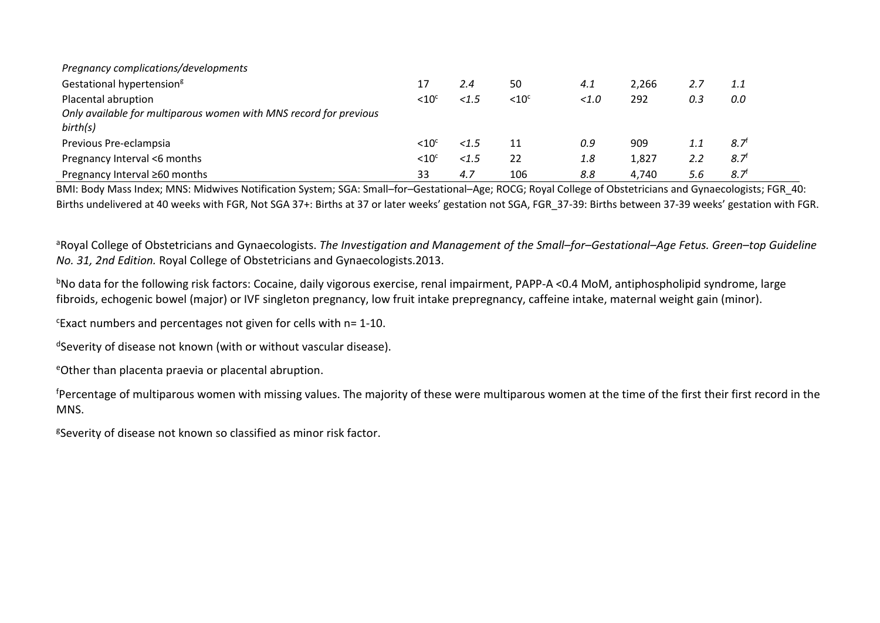| Pregnancy complications/developments                              |                 |          |                   |       |       |     |                  |  |  |  |
|-------------------------------------------------------------------|-----------------|----------|-------------------|-------|-------|-----|------------------|--|--|--|
| Gestational hypertension <sup>g</sup>                             |                 | 2.4      | 50                | 4.1   | 2.266 |     | 1.1              |  |  |  |
| Placental abruption                                               | ${<}10^{\circ}$ | < 1.5    | < 10 <sup>c</sup> | < 1.0 | 292   | 0.3 | 0.0              |  |  |  |
| Only available for multiparous women with MNS record for previous |                 |          |                   |       |       |     |                  |  |  |  |
| birth(s)                                                          |                 |          |                   |       |       |     |                  |  |  |  |
| Previous Pre-eclampsia                                            | ${<}10^{\circ}$ | < 1.5    | 11                | 0.9   | 909   |     | 8.7              |  |  |  |
| Pregnancy Interval <6 months                                      | ${<}10^{\circ}$ | ${<}1.5$ | 22                | 1.8   | 1,827 | 2.2 | $8.7^{\circ}$    |  |  |  |
| Pregnancy Interval ≥60 months                                     | 33              | 4.7      | 106               | 8.8   | 4,740 | 5.6 | 8.7 <sup>†</sup> |  |  |  |

BMI: Body Mass Index; MNS: Midwives Notification System; SGA: Small–for–Gestational–Age; ROCG; Royal College of Obstetricians and Gynaecologists; FGR\_40: Births undelivered at 40 weeks with FGR, Not SGA 37+: Births at 37 or later weeks' gestation not SGA, FGR\_37-39: Births between 37-39 weeks' gestation with FGR.

<sup>a</sup>Royal College of Obstetricians and Gynaecologists. The Investigation and Management of the Small–for–Gestational–Age Fetus. Green–top Guideline *No. 31, 2nd Edition.* Royal College of Obstetricians and Gynaecologists.2013.

bNo data for the following risk factors: Cocaine, daily vigorous exercise, renal impairment, PAPP-A <0.4 MoM, antiphospholipid syndrome, large fibroids, echogenic bowel (major) or IVF singleton pregnancy, low fruit intake prepregnancy, caffeine intake, maternal weight gain (minor).

c Exact numbers and percentages not given for cells with n= 1-10.

dSeverity of disease not known (with or without vascular disease).

e Other than placenta praevia or placental abruption.

f Percentage of multiparous women with missing values. The majority of these were multiparous women at the time of the first their first record in the MNS.

<sup>g</sup>Severity of disease not known so classified as minor risk factor.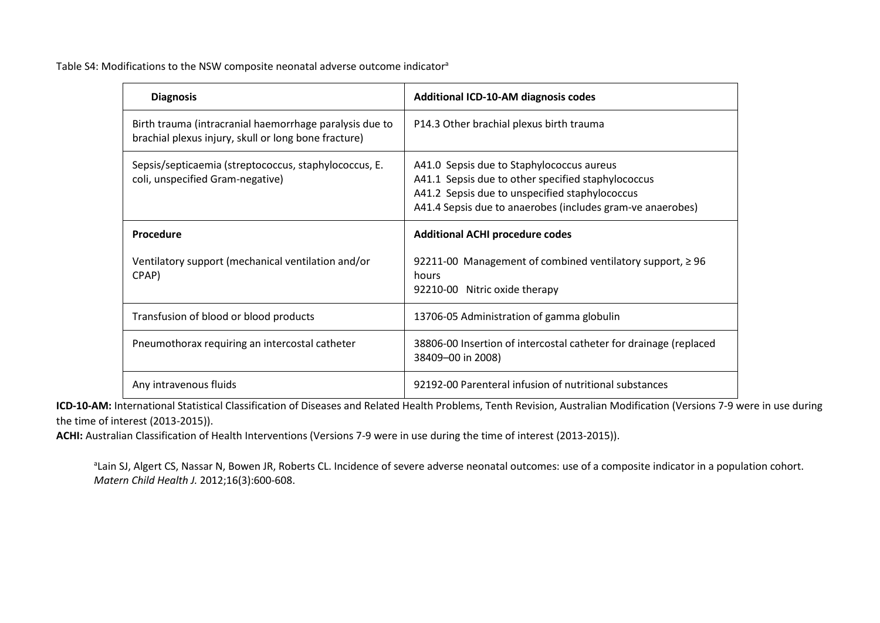Table S4: Modifications to the NSW composite neonatal adverse outcome indicator<sup>a</sup>

| <b>Diagnosis</b>                                                                                                | <b>Additional ICD-10-AM diagnosis codes</b>                                                                                                                                                                     |
|-----------------------------------------------------------------------------------------------------------------|-----------------------------------------------------------------------------------------------------------------------------------------------------------------------------------------------------------------|
| Birth trauma (intracranial haemorrhage paralysis due to<br>brachial plexus injury, skull or long bone fracture) | P14.3 Other brachial plexus birth trauma                                                                                                                                                                        |
| Sepsis/septicaemia (streptococcus, staphylococcus, E.<br>coli, unspecified Gram-negative)                       | A41.0 Sepsis due to Staphylococcus aureus<br>A41.1 Sepsis due to other specified staphylococcus<br>A41.2 Sepsis due to unspecified staphylococcus<br>A41.4 Sepsis due to anaerobes (includes gram-ve anaerobes) |
| Procedure                                                                                                       | <b>Additional ACHI procedure codes</b>                                                                                                                                                                          |
| Ventilatory support (mechanical ventilation and/or<br>CPAP)                                                     | 92211-00 Management of combined ventilatory support, $\geq$ 96<br>hours<br>92210-00 Nitric oxide therapy                                                                                                        |
| Transfusion of blood or blood products                                                                          | 13706-05 Administration of gamma globulin                                                                                                                                                                       |
| Pneumothorax requiring an intercostal catheter                                                                  | 38806-00 Insertion of intercostal catheter for drainage (replaced<br>38409-00 in 2008)                                                                                                                          |
| Any intravenous fluids                                                                                          | 92192-00 Parenteral infusion of nutritional substances                                                                                                                                                          |

**ICD-10-AM:** International Statistical Classification of Diseases and Related Health Problems, Tenth Revision, Australian Modification (Versions 7-9 were in use during the time of interest (2013-2015)).

**ACHI:** Australian Classification of Health Interventions (Versions 7-9 were in use during the time of interest (2013-2015)).

<sup>a</sup>Lain SJ, Algert CS, Nassar N, Bowen JR, Roberts CL. Incidence of severe adverse neonatal outcomes: use of a composite indicator in a population cohort. *Matern Child Health J.* 2012;16(3):600-608.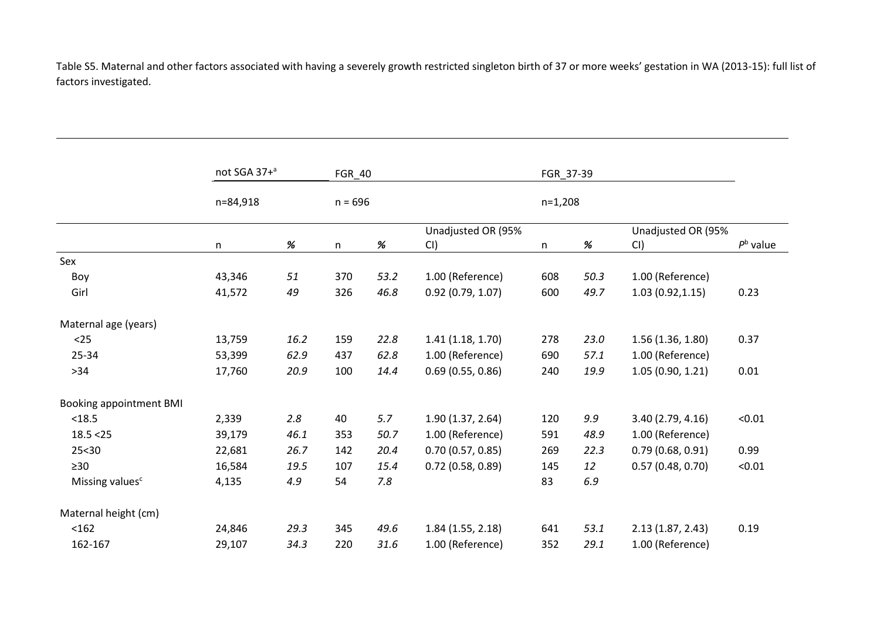Table S5. Maternal and other factors associated with having a severely growth restricted singleton birth of 37 or more weeks' gestation in WA (2013-15): full list of factors investigated.

|                                | not SGA 37+ <sup>a</sup> | FGR_40    |     |      | FGR_37-39                 |           |      |                           |                   |
|--------------------------------|--------------------------|-----------|-----|------|---------------------------|-----------|------|---------------------------|-------------------|
|                                | n=84,918                 | $n = 696$ |     |      |                           | $n=1,208$ |      |                           |                   |
|                                | n                        | $\%$      | n   | $\%$ | Unadjusted OR (95%<br>CI) | n         | %    | Unadjusted OR (95%<br>CI) | $P^{\rm b}$ value |
| Sex                            |                          |           |     |      |                           |           |      |                           |                   |
| Boy                            | 43,346                   | 51        | 370 | 53.2 | 1.00 (Reference)          | 608       | 50.3 | 1.00 (Reference)          |                   |
| Girl                           | 41,572                   | 49        | 326 | 46.8 | 0.92(0.79, 1.07)          | 600       | 49.7 | 1.03(0.92, 1.15)          | 0.23              |
| Maternal age (years)           |                          |           |     |      |                           |           |      |                           |                   |
| $25$                           | 13,759                   | 16.2      | 159 | 22.8 | 1.41(1.18, 1.70)          | 278       | 23.0 | 1.56(1.36, 1.80)          | 0.37              |
| 25-34                          | 53,399                   | 62.9      | 437 | 62.8 | 1.00 (Reference)          | 690       | 57.1 | 1.00 (Reference)          |                   |
| $>34$                          | 17,760                   | 20.9      | 100 | 14.4 | 0.69(0.55, 0.86)          | 240       | 19.9 | 1.05(0.90, 1.21)          | 0.01              |
| <b>Booking appointment BMI</b> |                          |           |     |      |                           |           |      |                           |                   |
| < 18.5                         | 2,339                    | 2.8       | 40  | 5.7  | 1.90 (1.37, 2.64)         | 120       | 9.9  | 3.40(2.79, 4.16)          | < 0.01            |
| 18.5 < 25                      | 39,179                   | 46.1      | 353 | 50.7 | 1.00 (Reference)          | 591       | 48.9 | 1.00 (Reference)          |                   |
| 25 < 30                        | 22,681                   | 26.7      | 142 | 20.4 | 0.70(0.57, 0.85)          | 269       | 22.3 | 0.79(0.68, 0.91)          | 0.99              |
| $\geq 30$                      | 16,584                   | 19.5      | 107 | 15.4 | $0.72$ (0.58, 0.89)       | 145       | 12   | 0.57(0.48, 0.70)          | < 0.01            |
| Missing values <sup>c</sup>    | 4,135                    | 4.9       | 54  | 7.8  |                           | 83        | 6.9  |                           |                   |
| Maternal height (cm)           |                          |           |     |      |                           |           |      |                           |                   |
| < 162                          | 24,846                   | 29.3      | 345 | 49.6 | 1.84(1.55, 2.18)          | 641       | 53.1 | 2.13(1.87, 2.43)          | 0.19              |
| 162-167                        | 29,107                   | 34.3      | 220 | 31.6 | 1.00 (Reference)          | 352       | 29.1 | 1.00 (Reference)          |                   |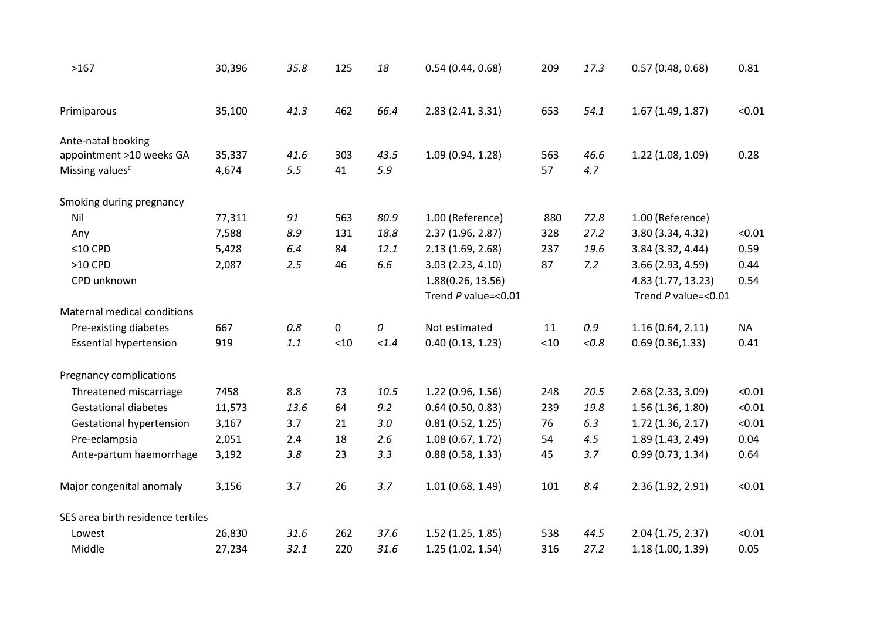| >167                              | 30,396 | 35.8 | 125  | 18    | 0.54(0.44, 0.68)         | 209  | 17.3  | 0.57(0.48, 0.68)    | 0.81      |
|-----------------------------------|--------|------|------|-------|--------------------------|------|-------|---------------------|-----------|
| Primiparous                       | 35,100 | 41.3 | 462  | 66.4  | 2.83 (2.41, 3.31)        | 653  | 54.1  | 1.67(1.49, 1.87)    | < 0.01    |
| Ante-natal booking                |        |      |      |       |                          |      |       |                     |           |
| appointment >10 weeks GA          | 35,337 | 41.6 | 303  | 43.5  | 1.09 (0.94, 1.28)        | 563  | 46.6  | 1.22 (1.08, 1.09)   | 0.28      |
| Missing values <sup>c</sup>       | 4,674  | 5.5  | 41   | 5.9   |                          | 57   | 4.7   |                     |           |
| Smoking during pregnancy          |        |      |      |       |                          |      |       |                     |           |
| Nil                               | 77,311 | 91   | 563  | 80.9  | 1.00 (Reference)         | 880  | 72.8  | 1.00 (Reference)    |           |
| Any                               | 7,588  | 8.9  | 131  | 18.8  | 2.37 (1.96, 2.87)        | 328  | 27.2  | 3.80 (3.34, 4.32)   | < 0.01    |
| $≤10$ CPD                         | 5,428  | 6.4  | 84   | 12.1  | 2.13(1.69, 2.68)         | 237  | 19.6  | 3.84 (3.32, 4.44)   | 0.59      |
| $>10$ CPD                         | 2,087  | 2.5  | 46   | 6.6   | 3.03(2.23, 4.10)         | 87   | 7.2   | 3.66 (2.93, 4.59)   | 0.44      |
| CPD unknown                       |        |      |      |       | 1.88(0.26, 13.56)        |      |       | 4.83 (1.77, 13.23)  | 0.54      |
|                                   |        |      |      |       | Trend $P$ value=< $0.01$ |      |       | Trend P value=<0.01 |           |
| Maternal medical conditions       |        |      |      |       |                          |      |       |                     |           |
| Pre-existing diabetes             | 667    | 0.8  | 0    | 0     | Not estimated            | 11   | 0.9   | 1.16(0.64, 2.11)    | <b>NA</b> |
| <b>Essential hypertension</b>     | 919    | 1.1  | < 10 | < 1.4 | 0.40(0.13, 1.23)         | < 10 | < 0.8 | 0.69(0.36, 1.33)    | 0.41      |
| Pregnancy complications           |        |      |      |       |                          |      |       |                     |           |
| Threatened miscarriage            | 7458   | 8.8  | 73   | 10.5  | 1.22(0.96, 1.56)         | 248  | 20.5  | 2.68(2.33, 3.09)    | < 0.01    |
| <b>Gestational diabetes</b>       | 11,573 | 13.6 | 64   | 9.2   | $0.64$ (0.50, 0.83)      | 239  | 19.8  | 1.56 (1.36, 1.80)   | < 0.01    |
| Gestational hypertension          | 3,167  | 3.7  | 21   | 3.0   | 0.81(0.52, 1.25)         | 76   | 6.3   | 1.72 (1.36, 2.17)   | < 0.01    |
| Pre-eclampsia                     | 2,051  | 2.4  | 18   | 2.6   | 1.08(0.67, 1.72)         | 54   | 4.5   | 1.89 (1.43, 2.49)   | 0.04      |
| Ante-partum haemorrhage           | 3,192  | 3.8  | 23   | 3.3   | 0.88(0.58, 1.33)         | 45   | 3.7   | 0.99(0.73, 1.34)    | 0.64      |
| Major congenital anomaly          | 3,156  | 3.7  | 26   | 3.7   | 1.01(0.68, 1.49)         | 101  | 8.4   | 2.36 (1.92, 2.91)   | < 0.01    |
| SES area birth residence tertiles |        |      |      |       |                          |      |       |                     |           |
| Lowest                            | 26,830 | 31.6 | 262  | 37.6  | 1.52 (1.25, 1.85)        | 538  | 44.5  | 2.04 (1.75, 2.37)   | < 0.01    |
| Middle                            | 27,234 | 32.1 | 220  | 31.6  | 1.25(1.02, 1.54)         | 316  | 27.2  | 1.18(1.00, 1.39)    | 0.05      |
|                                   |        |      |      |       |                          |      |       |                     |           |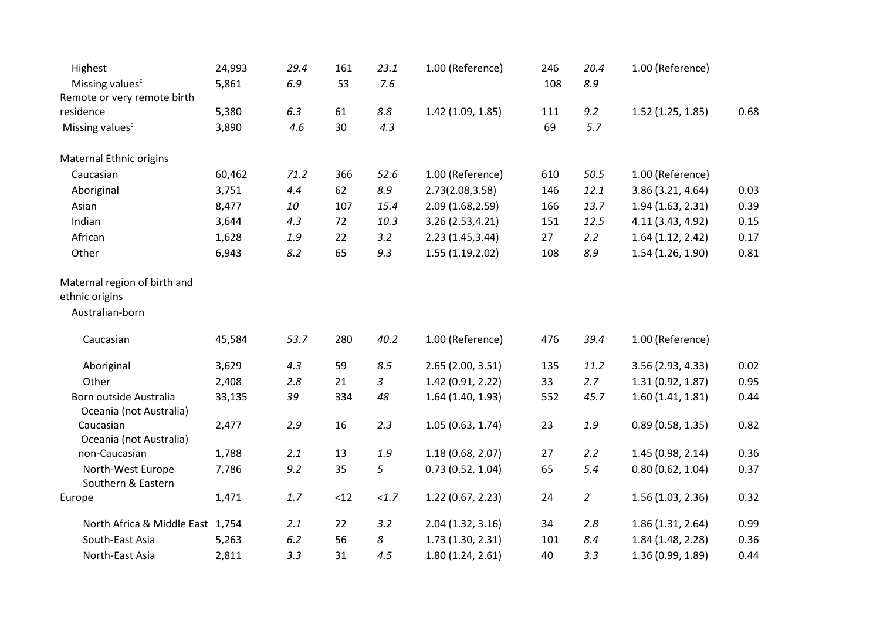| Highest                                                           | 24,993 | 29.4  | 161 | 23.1    | 1.00 (Reference)  | 246 | 20.4           | 1.00 (Reference)  |      |
|-------------------------------------------------------------------|--------|-------|-----|---------|-------------------|-----|----------------|-------------------|------|
| Missing values <sup>c</sup>                                       | 5,861  | 6.9   | 53  | 7.6     |                   | 108 | 8.9            |                   |      |
| Remote or very remote birth                                       |        |       |     |         |                   |     |                |                   |      |
| residence                                                         | 5,380  | 6.3   | 61  | $8.8\,$ | 1.42 (1.09, 1.85) | 111 | 9.2            | 1.52(1.25, 1.85)  | 0.68 |
| Missing values <sup>c</sup>                                       | 3,890  | 4.6   | 30  | 4.3     |                   | 69  | 5.7            |                   |      |
| Maternal Ethnic origins                                           |        |       |     |         |                   |     |                |                   |      |
| Caucasian                                                         | 60,462 | 71.2  | 366 | 52.6    | 1.00 (Reference)  | 610 | 50.5           | 1.00 (Reference)  |      |
| Aboriginal                                                        | 3,751  | 4.4   | 62  | 8.9     | 2.73(2.08,3.58)   | 146 | 12.1           | 3.86 (3.21, 4.64) | 0.03 |
| Asian                                                             | 8,477  | 10    | 107 | 15.4    | 2.09 (1.68, 2.59) | 166 | 13.7           | 1.94(1.63, 2.31)  | 0.39 |
| Indian                                                            | 3,644  | 4.3   | 72  | 10.3    | 3.26 (2.53,4.21)  | 151 | 12.5           | 4.11 (3.43, 4.92) | 0.15 |
| African                                                           | 1,628  | 1.9   | 22  | 3.2     | 2.23 (1.45,3.44)  | 27  | 2.2            | 1.64(1.12, 2.42)  | 0.17 |
| Other                                                             | 6,943  | 8.2   | 65  | 9.3     | 1.55(1.19, 2.02)  | 108 | 8.9            | 1.54 (1.26, 1.90) | 0.81 |
| Maternal region of birth and<br>ethnic origins<br>Australian-born |        |       |     |         |                   |     |                |                   |      |
| Caucasian                                                         | 45,584 | 53.7  | 280 | 40.2    | 1.00 (Reference)  | 476 | 39.4           | 1.00 (Reference)  |      |
| Aboriginal                                                        | 3,629  | 4.3   | 59  | 8.5     | 2.65(2.00, 3.51)  | 135 | 11.2           | 3.56 (2.93, 4.33) | 0.02 |
| Other                                                             | 2,408  | 2.8   | 21  | 3       | 1.42 (0.91, 2.22) | 33  | 2.7            | 1.31(0.92, 1.87)  | 0.95 |
| Born outside Australia<br>Oceania (not Australia)                 | 33,135 | 39    | 334 | 48      | 1.64 (1.40, 1.93) | 552 | 45.7           | 1.60(1.41, 1.81)  | 0.44 |
| Caucasian<br>Oceania (not Australia)                              | 2,477  | 2.9   | 16  | 2.3     | 1.05(0.63, 1.74)  | 23  | 1.9            | 0.89(0.58, 1.35)  | 0.82 |
| non-Caucasian                                                     | 1,788  | 2.1   | 13  | 1.9     | 1.18 (0.68, 2.07) | 27  | 2.2            | 1.45 (0.98, 2.14) | 0.36 |
| North-West Europe<br>Southern & Eastern                           | 7,786  | 9.2   | 35  | 5       | 0.73(0.52, 1.04)  | 65  | 5.4            | 0.80(0.62, 1.04)  | 0.37 |
| Europe                                                            | 1,471  | $1.7$ | <12 | <1.7    | 1.22(0.67, 2.23)  | 24  | $\overline{2}$ | 1.56(1.03, 2.36)  | 0.32 |
| North Africa & Middle East 1,754                                  |        | 2.1   | 22  | 3.2     | 2.04(1.32, 3.16)  | 34  | 2.8            | 1.86(1.31, 2.64)  | 0.99 |
| South-East Asia                                                   | 5,263  | 6.2   | 56  | 8       | 1.73 (1.30, 2.31) | 101 | 8.4            | 1.84 (1.48, 2.28) | 0.36 |
| North-East Asia                                                   | 2,811  | 3.3   | 31  | 4.5     | 1.80(1.24, 2.61)  | 40  | 3.3            | 1.36 (0.99, 1.89) | 0.44 |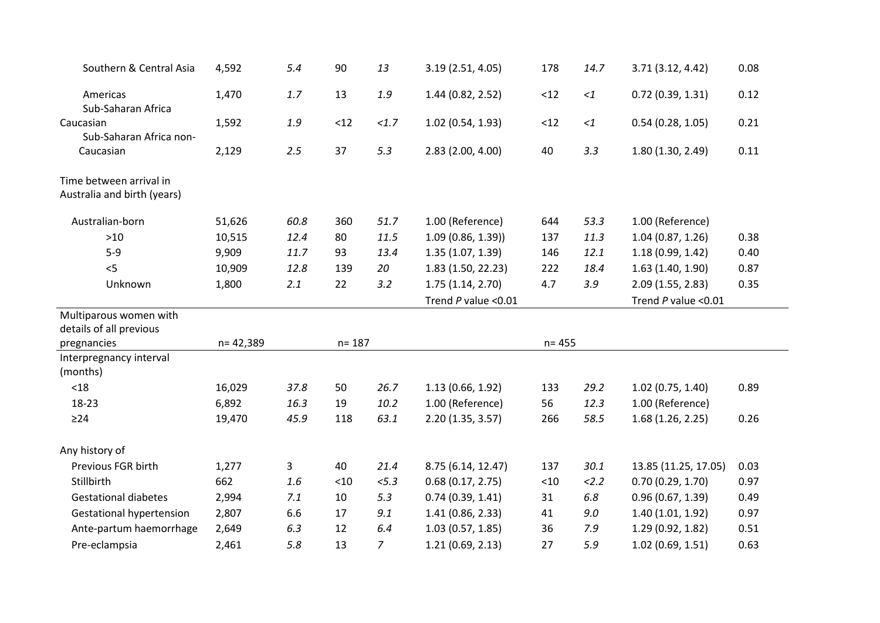| Southern & Central Asia                                | 4,592     | 5.4  | 90        | 13             | 3.19 (2.51, 4.05)        | 178   | 14.7     | 3.71 (3.12, 4.42)        | 0.08 |
|--------------------------------------------------------|-----------|------|-----------|----------------|--------------------------|-------|----------|--------------------------|------|
| Americas<br>Sub-Saharan Africa                         | 1,470     | 1.7  | 13        | $1.9$          | 1.44 (0.82, 2.52)        | $<12$ | $<1\,$   | 0.72(0.39, 1.31)         | 0.12 |
| Caucasian<br>Sub-Saharan Africa non-                   | 1,592     | 1.9  | < 12      | <1.7           | 1.02(0.54, 1.93)         | $<12$ | $<\!\!1$ | 0.54(0.28, 1.05)         | 0.21 |
| Caucasian                                              | 2,129     | 2.5  | 37        | 5.3            | 2.83 (2.00, 4.00)        | 40    | 3.3      | 1.80 (1.30, 2.49)        | 0.11 |
| Time between arrival in<br>Australia and birth (years) |           |      |           |                |                          |       |          |                          |      |
| Australian-born                                        | 51,626    | 60.8 | 360       | 51.7           | 1.00 (Reference)         | 644   | 53.3     | 1.00 (Reference)         |      |
| $>10$                                                  | 10,515    | 12.4 | 80        | 11.5           | 1.09(0.86, 1.39)         | 137   | 11.3     | 1.04(0.87, 1.26)         | 0.38 |
| $5-9$                                                  | 9,909     | 11.7 | 93        | 13.4           | 1.35(1.07, 1.39)         | 146   | 12.1     | 1.18(0.99, 1.42)         | 0.40 |
| < 5                                                    | 10,909    | 12.8 | 139       | 20             | 1.83 (1.50, 22.23)       | 222   | 18.4     | 1.63(1.40, 1.90)         | 0.87 |
| Unknown                                                | 1,800     | 2.1  | 22        | 3.2            | 1.75(1.14, 2.70)         | 4.7   | 3.9      | 2.09(1.55, 2.83)         | 0.35 |
|                                                        |           |      |           |                | Trend $P$ value < $0.01$ |       |          | Trend $P$ value < $0.01$ |      |
| Multiparous women with<br>details of all previous      |           |      |           |                |                          |       |          |                          |      |
| pregnancies                                            | n= 42,389 |      | $n = 187$ |                | $n = 455$                |       |          |                          |      |
| Interpregnancy interval<br>(months)                    |           |      |           |                |                          |       |          |                          |      |
| < 18                                                   | 16,029    | 37.8 | 50        | 26.7           | 1.13 (0.66, 1.92)        | 133   | 29.2     | 1.02(0.75, 1.40)         | 0.89 |
| 18-23                                                  | 6,892     | 16.3 | 19        | 10.2           | 1.00 (Reference)         | 56    | 12.3     | 1.00 (Reference)         |      |
| $\geq$ 24                                              | 19,470    | 45.9 | 118       | 63.1           | 2.20(1.35, 3.57)         | 266   | 58.5     | 1.68(1.26, 2.25)         | 0.26 |
| Any history of                                         |           |      |           |                |                          |       |          |                          |      |
| Previous FGR birth                                     | 1,277     | 3    | 40        | 21.4           | 8.75 (6.14, 12.47)       | 137   | 30.1     | 13.85 (11.25, 17.05)     | 0.03 |
| Stillbirth                                             | 662       | 1.6  | < 10      | 5.3            | 0.68(0.17, 2.75)         | $<10$ | 2.2      | 0.70(0.29, 1.70)         | 0.97 |
| <b>Gestational diabetes</b>                            | 2,994     | 7.1  | 10        | 5.3            | 0.74(0.39, 1.41)         | 31    | $6.8\,$  | 0.96(0.67, 1.39)         | 0.49 |
| <b>Gestational hypertension</b>                        | 2,807     | 6.6  | 17        | 9.1            | 1.41(0.86, 2.33)         | 41    | 9.0      | 1.40(1.01, 1.92)         | 0.97 |
| Ante-partum haemorrhage                                | 2,649     | 6.3  | 12        | 6.4            | 1.03(0.57, 1.85)         | 36    | 7.9      | 1.29 (0.92, 1.82)        | 0.51 |
| Pre-eclampsia                                          | 2,461     | 5.8  | 13        | $\overline{7}$ | 1.21(0.69, 2.13)         | 27    | 5.9      | 1.02(0.69, 1.51)         | 0.63 |
|                                                        |           |      |           |                |                          |       |          |                          |      |